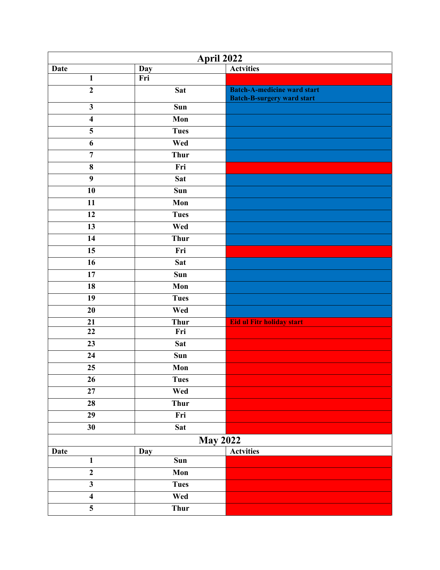| <b>April 2022</b>                    |                 |                                                                         |  |
|--------------------------------------|-----------------|-------------------------------------------------------------------------|--|
| <b>Date</b>                          | <b>Day</b>      | <b>Actvities</b>                                                        |  |
| $\mathbf{1}$                         | Fri             |                                                                         |  |
| $\overline{2}$                       | <b>Sat</b>      | <b>Batch-A-medicine ward start</b><br><b>Batch-B-surgery ward start</b> |  |
| $\overline{\mathbf{3}}$              | Sun             |                                                                         |  |
| $\overline{\mathbf{4}}$              | Mon             |                                                                         |  |
| $\overline{\overline{\overline{5}}}$ | <b>Tues</b>     |                                                                         |  |
| 6                                    | Wed             |                                                                         |  |
| $\overline{7}$                       | <b>Thur</b>     |                                                                         |  |
| 8                                    | Fri             |                                                                         |  |
| $\boldsymbol{9}$                     | <b>Sat</b>      |                                                                         |  |
| $\overline{10}$                      | Sun             |                                                                         |  |
| 11                                   | Mon             |                                                                         |  |
| 12                                   | <b>Tues</b>     |                                                                         |  |
| 13                                   | Wed             |                                                                         |  |
| 14                                   | <b>Thur</b>     |                                                                         |  |
| 15                                   | Fri             |                                                                         |  |
| 16                                   | <b>Sat</b>      |                                                                         |  |
| $\overline{17}$                      | Sun             |                                                                         |  |
| 18                                   | Mon             |                                                                         |  |
| 19                                   | <b>Tues</b>     |                                                                         |  |
| $\overline{20}$                      | Wed             |                                                                         |  |
| 21                                   | <b>Thur</b>     | Eid ul Fitr holiday start                                               |  |
| 22                                   | Fri             |                                                                         |  |
| 23                                   | <b>Sat</b>      |                                                                         |  |
| 24                                   | Sun             |                                                                         |  |
| 25                                   | Mon             |                                                                         |  |
| 26                                   | <b>Tues</b>     |                                                                         |  |
| 27                                   | Wed             |                                                                         |  |
| 28                                   | <b>Thur</b>     |                                                                         |  |
| $\overline{29}$                      | Fri             |                                                                         |  |
| 30                                   | <b>Sat</b>      |                                                                         |  |
|                                      | <b>May 2022</b> |                                                                         |  |
| <b>Date</b>                          | Day             | <b>Actvities</b>                                                        |  |
| $\mathbf{1}$                         | Sun             |                                                                         |  |
| $\overline{2}$                       | Mon             |                                                                         |  |
| $\overline{\mathbf{3}}$              | <b>Tues</b>     |                                                                         |  |
| $\overline{\mathbf{4}}$              | Wed             |                                                                         |  |
| $\overline{\mathbf{5}}$              | Thur            |                                                                         |  |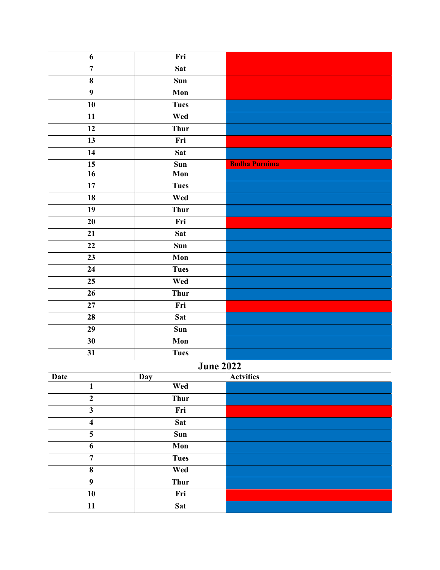| 6                       | Fri              |                      |
|-------------------------|------------------|----------------------|
| $\overline{7}$          | <b>Sat</b>       |                      |
| 8                       | Sun              |                      |
| $\overline{9}$          | Mon              |                      |
| $\overline{10}$         | <b>Tues</b>      |                      |
| 11                      | Wed              |                      |
| 12                      | <b>Thur</b>      |                      |
| $\overline{13}$         | Fri              |                      |
| 14                      | <b>Sat</b>       |                      |
| 15                      | Sun              | <b>Budha Purnima</b> |
| 16                      | Mon              |                      |
| $\overline{17}$         | <b>Tues</b>      |                      |
| 18                      | Wed              |                      |
| 19                      | <b>Thur</b>      |                      |
| 20                      | Fri              |                      |
| 21                      | <b>Sat</b>       |                      |
| 22                      | Sun              |                      |
| 23                      | Mon              |                      |
| 24                      | <b>Tues</b>      |                      |
| $\overline{25}$         | Wed              |                      |
| 26                      | <b>Thur</b>      |                      |
| $\overline{27}$         | Fri              |                      |
| 28                      | <b>Sat</b>       |                      |
| $\overline{29}$         | Sun              |                      |
| 30                      | Mon              |                      |
| 31                      | <b>Tues</b>      |                      |
|                         | <b>June 2022</b> |                      |
| Date                    | <b>Day</b>       | <b>Actvities</b>     |
| $\mathbf{1}$            | Wed              |                      |
| $\overline{2}$          | <b>Thur</b>      |                      |
| $\overline{\mathbf{3}}$ | Fri              |                      |
| $\overline{\mathbf{4}}$ | <b>Sat</b>       |                      |
| $\overline{5}$          | Sun              |                      |
| 6                       | Mon              |                      |
| $\overline{7}$          | <b>Tues</b>      |                      |
| $\overline{\mathbf{8}}$ | Wed              |                      |
| $\overline{9}$          | <b>Thur</b>      |                      |
| $\overline{10}$         | Fri              |                      |
| $\overline{11}$         | <b>Sat</b>       |                      |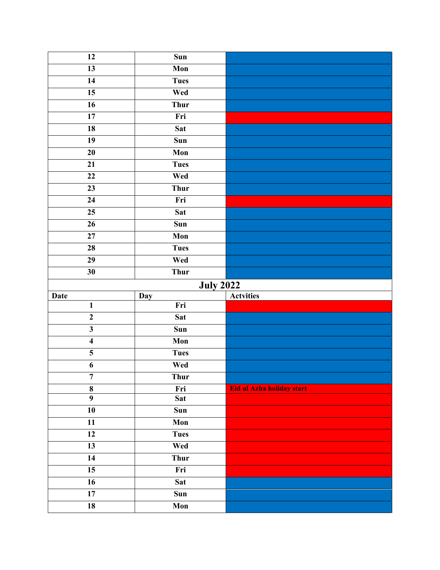| $\overline{12}$         | $\overline{\text{Sun}}$ |                           |  |
|-------------------------|-------------------------|---------------------------|--|
| $\overline{13}$         | Mon                     |                           |  |
| 14                      | <b>Tues</b>             |                           |  |
| $\overline{15}$         | Wed                     |                           |  |
| $\overline{16}$         | <b>Thur</b>             |                           |  |
| 17                      | Fri                     |                           |  |
| 18                      | <b>Sat</b>              |                           |  |
| 19                      | Sun                     |                           |  |
| 20                      | Mon                     |                           |  |
| 21                      | <b>Tues</b>             |                           |  |
| 22                      | Wed                     |                           |  |
| $\overline{23}$         | Thur                    |                           |  |
| 24                      | Fri                     |                           |  |
| 25                      | <b>Sat</b>              |                           |  |
| 26                      | Sun                     |                           |  |
| $\overline{27}$         | Mon                     |                           |  |
| 28                      | <b>Tues</b>             |                           |  |
| $\overline{29}$         | Wed                     |                           |  |
| 30                      | <b>Thur</b>             |                           |  |
| <b>July 2022</b>        |                         |                           |  |
| <b>Date</b>             | Day                     | <b>Actvities</b>          |  |
| $\mathbf{1}$            | Fri                     |                           |  |
| $\overline{2}$          | <b>Sat</b>              |                           |  |
| $\overline{\mathbf{3}}$ | Sun                     |                           |  |
| $\overline{\mathbf{4}}$ | Mon                     |                           |  |
| $\overline{\mathbf{5}}$ | <b>Tues</b>             |                           |  |
| 6                       |                         |                           |  |
| $\overline{7}$          | Wed                     |                           |  |
|                         | <b>Thur</b>             |                           |  |
| $\bf 8$                 | Fri                     | Eid ul Azha holiday start |  |
| $\overline{9}$          | <b>Sat</b>              |                           |  |
| ${\bf 10}$              | Sun                     |                           |  |
| 11                      | Mon                     |                           |  |
| $\overline{12}$         | <b>Tues</b>             |                           |  |
| 13                      | Wed                     |                           |  |
| 14                      | <b>Thur</b>             |                           |  |
| $\overline{15}$         | Fri                     |                           |  |
| 16                      | <b>Sat</b>              |                           |  |
| 17<br>${\bf 18}$        | Sun<br>Mon              |                           |  |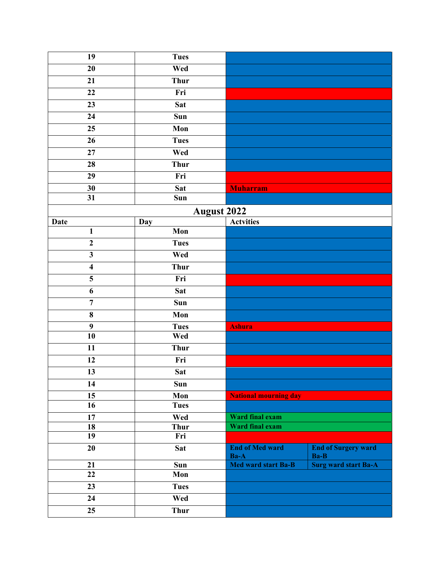| 19                      | <b>Tues</b>        |                                |                                    |
|-------------------------|--------------------|--------------------------------|------------------------------------|
| 20                      | Wed                |                                |                                    |
| 21                      | <b>Thur</b>        |                                |                                    |
| 22                      | Fri                |                                |                                    |
| $\overline{23}$         | Sat                |                                |                                    |
| 24                      | Sun                |                                |                                    |
| $\overline{25}$         | Mon                |                                |                                    |
| 26                      | <b>Tues</b>        |                                |                                    |
| 27                      | Wed                |                                |                                    |
| 28                      | <b>Thur</b>        |                                |                                    |
| 29                      | Fri                |                                |                                    |
| 30                      | Sat                | <b>Muharram</b>                |                                    |
| $\overline{31}$         | Sun                |                                |                                    |
|                         | <b>August 2022</b> |                                |                                    |
| <b>Date</b>             | Day                | <b>Actvities</b>               |                                    |
| $\mathbf{1}$            | Mon                |                                |                                    |
| $\overline{2}$          | <b>Tues</b>        |                                |                                    |
| $\mathbf{3}$            | Wed                |                                |                                    |
| $\overline{\mathbf{4}}$ | <b>Thur</b>        |                                |                                    |
| 5                       | Fri                |                                |                                    |
| $\overline{6}$          | Sat                |                                |                                    |
| $\overline{7}$          | Sun                |                                |                                    |
| 8                       | Mon                |                                |                                    |
| $\boldsymbol{9}$        | <b>Tues</b>        | <b>Ashura</b>                  |                                    |
| $\overline{10}$         | Wed                |                                |                                    |
| 11                      | <b>Thur</b>        |                                |                                    |
| 12                      | Fri                |                                |                                    |
| 13                      | <b>Sat</b>         |                                |                                    |
| 14                      | Sun                |                                |                                    |
| $\overline{15}$         | Mon                | <b>National mourning day</b>   |                                    |
| 16                      | <b>Tues</b>        |                                |                                    |
| $\overline{17}$         | Wed                | Ward final exam                |                                    |
| 18                      | <b>Thur</b>        | Ward final exam                |                                    |
| 19                      | Fri                |                                |                                    |
| 20                      | <b>Sat</b>         | <b>End of Med ward</b><br>Ba-A | <b>End of Surgery ward</b><br>Ba-B |
| 21                      | Sun                | Med ward start Ba-B            | <b>Surg ward start Ba-A</b>        |
| $\overline{22}$         | Mon                |                                |                                    |
| $\overline{23}$         | <b>Tues</b>        |                                |                                    |
| 24                      | Wed                |                                |                                    |
| 25                      | <b>Thur</b>        |                                |                                    |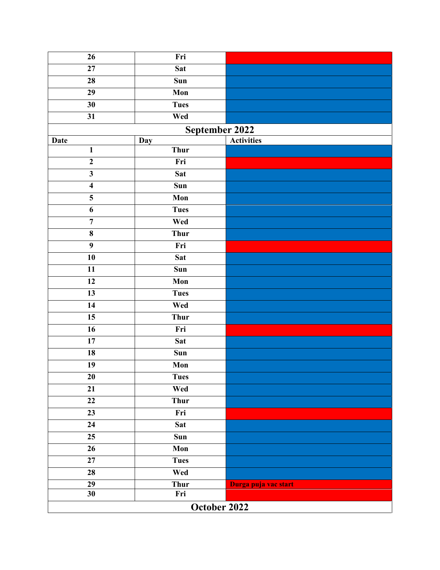| $\overline{26}$         | Fri            |                      |  |
|-------------------------|----------------|----------------------|--|
| 27                      | <b>Sat</b>     |                      |  |
| 28                      | Sun            |                      |  |
| 29                      | Mon            |                      |  |
| 30                      | <b>Tues</b>    |                      |  |
| 31                      | Wed            |                      |  |
|                         | September 2022 |                      |  |
| <b>Date</b>             | Day            | <b>Activities</b>    |  |
| $\mathbf{1}$            | <b>Thur</b>    |                      |  |
| $\mathbf{2}$            | Fri            |                      |  |
| $\mathbf{3}$            | <b>Sat</b>     |                      |  |
| $\overline{\mathbf{4}}$ | Sun            |                      |  |
| $\overline{\mathbf{5}}$ | Mon            |                      |  |
| 6                       | <b>Tues</b>    |                      |  |
| $\overline{7}$          | Wed            |                      |  |
| 8                       | <b>Thur</b>    |                      |  |
| $\boldsymbol{9}$        | Fri            |                      |  |
| 10                      | <b>Sat</b>     |                      |  |
| 11                      | Sun            |                      |  |
| 12                      | Mon            |                      |  |
| 13                      | <b>Tues</b>    |                      |  |
| 14                      | Wed            |                      |  |
| $\overline{15}$         | <b>Thur</b>    |                      |  |
| $\overline{16}$         | Fri            |                      |  |
| 17                      | <b>Sat</b>     |                      |  |
| 18                      | Sun            |                      |  |
| 19                      | Mon            |                      |  |
| $20\,$                  | <b>Tues</b>    |                      |  |
| 21                      | Wed            |                      |  |
| 22                      | <b>Thur</b>    |                      |  |
| 23                      | Fri            |                      |  |
| 24                      | <b>Sat</b>     |                      |  |
| 25                      | Sun            |                      |  |
| 26                      | Mon            |                      |  |
| 27                      | <b>Tues</b>    |                      |  |
| 28                      | Wed            |                      |  |
| 29                      | <b>Thur</b>    | Durga puja vac start |  |
| 30                      | Fri            |                      |  |
| October 2022            |                |                      |  |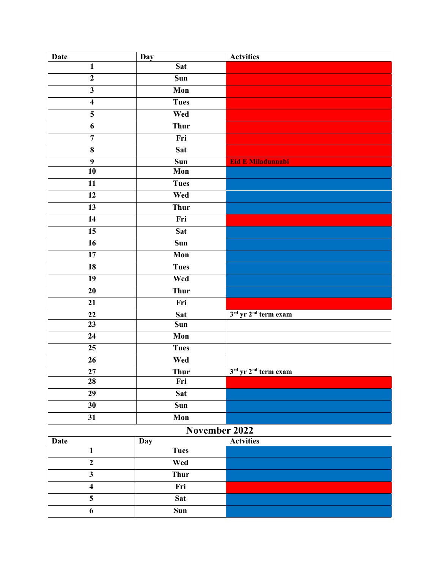| <b>Date</b>             | Day                        | <b>Actvities</b>                 |
|-------------------------|----------------------------|----------------------------------|
| $\mathbf{1}$            | <b>Sat</b>                 |                                  |
| $\mathbf{2}$            | Sun                        |                                  |
| $\overline{\mathbf{3}}$ | Mon                        |                                  |
| $\overline{\mathbf{4}}$ | <b>Tues</b>                |                                  |
| $\overline{5}$          | Wed                        |                                  |
| 6                       | <b>Thur</b>                |                                  |
| $\overline{7}$          | Fri                        |                                  |
| $\overline{\mathbf{8}}$ | Sat                        |                                  |
| $\boldsymbol{9}$        | Sun                        | Eid E Miladunnabi                |
| 10                      | Mon                        |                                  |
| $\overline{11}$         | <b>Tues</b>                |                                  |
| 12                      | Wed                        |                                  |
| $\overline{13}$         | <b>Thur</b>                |                                  |
| 14                      | Fri                        |                                  |
| $\overline{15}$         | Sat                        |                                  |
| $\overline{16}$         | $\overline{\mathbf{S}}$ un |                                  |
| 17                      | Mon                        |                                  |
| 18                      | <b>Tues</b>                |                                  |
| $\overline{19}$         | Wed                        |                                  |
| $\overline{20}$         | <b>Thur</b>                |                                  |
| 21                      | Fri                        |                                  |
| $\overline{22}$         | Sat                        | 3rd yr 2 <sup>nd</sup> term exam |
| 23                      | Sun                        |                                  |
| $\overline{24}$         | Mon                        |                                  |
| 25                      | <b>Tues</b>                |                                  |
| 26                      | Wed                        |                                  |
| 27                      | <b>Thur</b>                | 3rd yr 2 <sup>nd</sup> term exam |
| 28                      | Fri                        |                                  |
| 29                      | <b>Sat</b>                 |                                  |
| 30                      | Sun                        |                                  |
| 31                      | Mon                        |                                  |
|                         | November 2022              |                                  |
| Date                    | Day                        | <b>Actvities</b>                 |
| $\mathbf{1}$            | <b>Tues</b>                |                                  |
| $\boldsymbol{2}$        | Wed                        |                                  |
| $\mathbf{3}$            | <b>Thur</b>                |                                  |
| $\overline{\mathbf{4}}$ | Fri                        |                                  |
| 5                       | <b>Sat</b>                 |                                  |
| 6                       | Sun                        |                                  |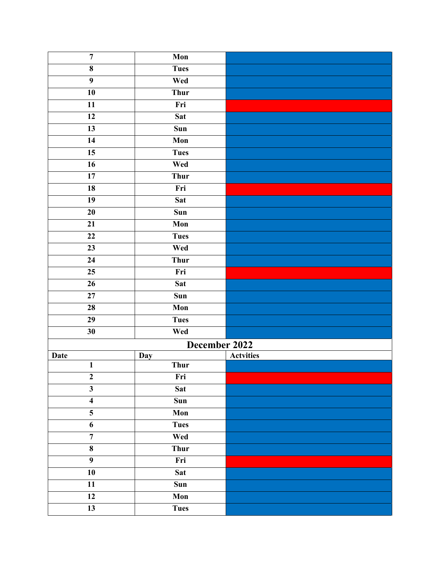| $\overline{7}$          | Mon           |                  |
|-------------------------|---------------|------------------|
| $\bf{8}$                | <b>Tues</b>   |                  |
| $\overline{9}$          | Wed           |                  |
| 10                      | <b>Thur</b>   |                  |
| $\overline{11}$         | Fri           |                  |
| 12                      | <b>Sat</b>    |                  |
| 13                      | Sun           |                  |
| 14                      | Mon           |                  |
| 15                      | <b>Tues</b>   |                  |
| $\overline{16}$         | Wed           |                  |
| 17                      | <b>Thur</b>   |                  |
| 18                      | Fri           |                  |
| 19                      | <b>Sat</b>    |                  |
| 20                      | Sun           |                  |
| 21                      | Mon           |                  |
| $\overline{22}$         | <b>Tues</b>   |                  |
| $\overline{23}$         | Wed           |                  |
| 24                      | <b>Thur</b>   |                  |
| $\overline{25}$         | Fri           |                  |
| 26                      | <b>Sat</b>    |                  |
| 27                      | Sun           |                  |
| 28                      | Mon           |                  |
| 29                      | <b>Tues</b>   |                  |
| 30                      | Wed           |                  |
|                         | December 2022 |                  |
| <b>Date</b>             | Day           | <b>Actvities</b> |
| $\mathbf{1}$            | <b>Thur</b>   |                  |
| $\boldsymbol{2}$        | Fri           |                  |
| $\overline{\mathbf{3}}$ | <b>Sat</b>    |                  |
| $\overline{\mathbf{4}}$ | Sun           |                  |
| 5                       | Mon           |                  |
| 6                       | <b>Tues</b>   |                  |
| $\overline{7}$          | Wed           |                  |
| $\bf{8}$                | <b>Thur</b>   |                  |
| $\overline{9}$          | Fri           |                  |
| 10                      | <b>Sat</b>    |                  |
| 11                      | Sun           |                  |
| 12                      | Mon           |                  |
| $\overline{13}$         | <b>Tues</b>   |                  |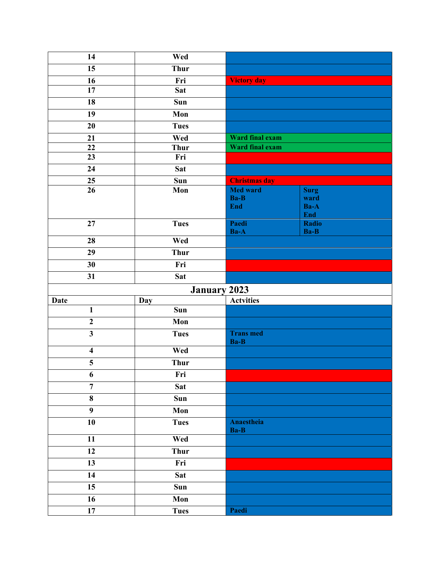| 14                      | Wed                |                                              |                                    |
|-------------------------|--------------------|----------------------------------------------|------------------------------------|
| 15                      | <b>Thur</b>        |                                              |                                    |
| 16                      | Fri                | <b>Victory day</b>                           |                                    |
| 17                      | <b>Sat</b>         |                                              |                                    |
| 18                      | Sun                |                                              |                                    |
| 19                      | Mon                |                                              |                                    |
| 20                      | <b>Tues</b>        |                                              |                                    |
| 21                      | Wed                | Ward final exam                              |                                    |
| $\bf{22}$               | <b>Thur</b>        | Ward final exam                              |                                    |
| $\overline{23}$         | Fri                |                                              |                                    |
| 24                      | <b>Sat</b>         |                                              |                                    |
| 25                      | Sun                | <b>Christmas day</b>                         |                                    |
| $\overline{26}$         | Mon                | <b>Med ward</b><br><b>Ba-B</b><br><b>End</b> | <b>Surg</b><br>ward<br>Ba-A<br>End |
| 27                      | <b>Tues</b>        | Paedi<br>Ba-A                                | Radio<br>Ba-B                      |
| $\overline{28}$         | Wed                |                                              |                                    |
| 29                      | <b>Thur</b>        |                                              |                                    |
| 30                      | Fri                |                                              |                                    |
| 31                      | <b>Sat</b>         |                                              |                                    |
| <b>January 2023</b>     |                    |                                              |                                    |
| <b>Date</b>             | Day                | <b>Actvities</b>                             |                                    |
| $\mathbf{1}$            | Sun                |                                              |                                    |
| $\overline{2}$          | Mon                |                                              |                                    |
| $\overline{\mathbf{3}}$ | <b>Tues</b>        | <b>Trans med</b><br>Ba-B                     |                                    |
| $\overline{\mathbf{4}}$ | Wed                |                                              |                                    |
| $\overline{\mathbf{5}}$ | <b>Thur</b>        |                                              |                                    |
| $\boldsymbol{6}$        | Fri                |                                              |                                    |
| $\overline{7}$          | <b>Sat</b>         |                                              |                                    |
| 8                       | Sun                |                                              |                                    |
| $\boldsymbol{9}$        | Mon                |                                              |                                    |
| 10                      | <b>Tues</b>        | Anaestheia<br>Ba-B                           |                                    |
| $\overline{11}$         | Wed                |                                              |                                    |
| 12                      | <b>Thur</b>        |                                              |                                    |
| 13                      | Fri                |                                              |                                    |
| 14                      | <b>Sat</b>         |                                              |                                    |
| $\overline{15}$         | Sun                |                                              |                                    |
| 16                      |                    |                                              |                                    |
| 17                      | Mon<br><b>Tues</b> | Paedi                                        |                                    |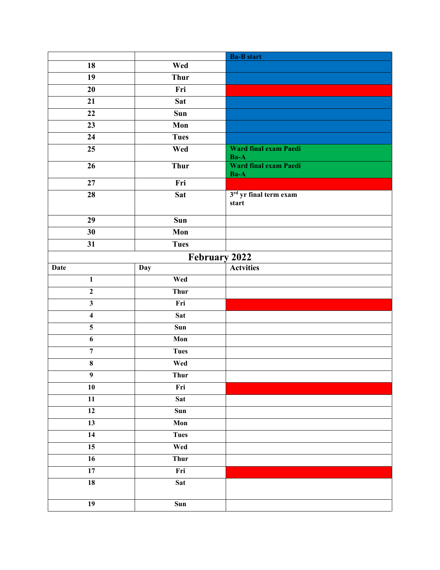|                         |             | <b>Ba-B</b> start                 |  |
|-------------------------|-------------|-----------------------------------|--|
| $\overline{18}$         | Wed         |                                   |  |
| 19                      | <b>Thur</b> |                                   |  |
| 20                      | Fri         |                                   |  |
| 21                      | <b>Sat</b>  |                                   |  |
| $\overline{22}$         | Sun         |                                   |  |
| 23                      | Mon         |                                   |  |
| 24                      | <b>Tues</b> |                                   |  |
| 25                      | Wed         | Ward final exam Paedi<br>$Ba-A$   |  |
| $\overline{26}$         | <b>Thur</b> | Ward final exam Paedi<br>$Ba-A$   |  |
| 27                      | Fri         |                                   |  |
| 28                      | <b>Sat</b>  | $3rd$ yr final term exam<br>start |  |
| 29                      | Sun         |                                   |  |
| $\overline{30}$         | Mon         |                                   |  |
| 31                      | <b>Tues</b> |                                   |  |
| February 2022           |             |                                   |  |
| <b>Date</b>             | Day         | <b>Actvities</b>                  |  |
| $\mathbf{1}$            | Wed         |                                   |  |
| $\overline{2}$          | <b>Thur</b> |                                   |  |
| $\overline{\mathbf{3}}$ | Fri         |                                   |  |
| $\boldsymbol{4}$        | <b>Sat</b>  |                                   |  |
| $\overline{5}$          | Sun         |                                   |  |
| 6                       | Mon         |                                   |  |
| $\overline{7}$          | <b>Tues</b> |                                   |  |
| $\bf 8$                 | Wed         |                                   |  |
| 9                       | Thur        |                                   |  |
| 10                      | Fri         |                                   |  |
| $\overline{11}$         | <b>Sat</b>  |                                   |  |
| 12                      | Sun         |                                   |  |
| 13                      | Mon         |                                   |  |
| $\overline{14}$         | <b>Tues</b> |                                   |  |
| 15                      | Wed         |                                   |  |
| $\overline{16}$         | <b>Thur</b> |                                   |  |
| $\overline{17}$         | Fri         |                                   |  |
| $\overline{18}$         | Sat         |                                   |  |
| $\overline{19}$         | Sun         |                                   |  |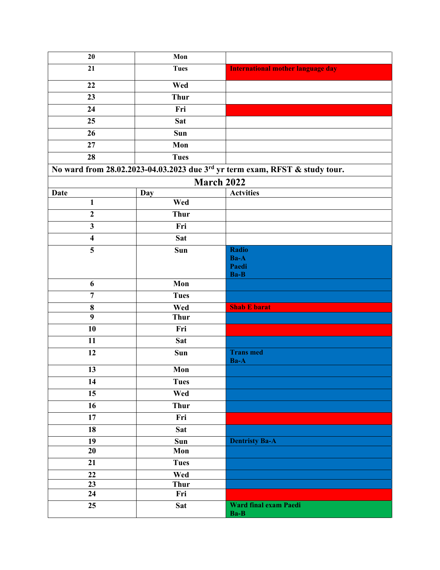| $\overline{20}$         | Mon         |                                                                             |
|-------------------------|-------------|-----------------------------------------------------------------------------|
| 21                      | <b>Tues</b> | <b>International mother language day</b>                                    |
| $\overline{22}$         | Wed         |                                                                             |
| 23                      | <b>Thur</b> |                                                                             |
| 24                      | Fri         |                                                                             |
| 25                      | <b>Sat</b>  |                                                                             |
| 26                      | Sun         |                                                                             |
| $\overline{27}$         | Mon         |                                                                             |
| $\overline{28}$         | <b>Tues</b> |                                                                             |
|                         |             | No ward from 28.02.2023-04.03.2023 due 3rd yr term exam, RFST & study tour. |
|                         | March 2022  |                                                                             |
| <b>Date</b>             | <b>Day</b>  | <b>Actvities</b>                                                            |
| $\mathbf{1}$            | Wed         |                                                                             |
| $\boldsymbol{2}$        | <b>Thur</b> |                                                                             |
| $\overline{\mathbf{3}}$ | Fri         |                                                                             |
| $\overline{\mathbf{4}}$ | <b>Sat</b>  |                                                                             |
| 5                       | Sun         | <b>Radio</b>                                                                |
|                         |             | Ba-A                                                                        |
|                         |             | Paedi                                                                       |
|                         |             | Ba-B                                                                        |
| 6                       | Mon         |                                                                             |
| $\overline{7}$          | <b>Tues</b> |                                                                             |
| $\bf 8$                 | Wed         | <b>Shab E barat</b>                                                         |
| $\overline{9}$          | <b>Thur</b> |                                                                             |
| $\overline{10}$         | Fri         |                                                                             |
| 11                      | Sat         |                                                                             |
| 12                      | Sun         | <b>Trans med</b><br>Ba-A                                                    |
| 13                      | Mon         |                                                                             |
| 14                      | <b>Tues</b> |                                                                             |
| 15                      | Wed         |                                                                             |
| 16                      | <b>Thur</b> |                                                                             |
| 17                      | Fri         |                                                                             |
| 18                      | <b>Sat</b>  |                                                                             |
| 19                      | Sun         | <b>Dentristy Ba-A</b>                                                       |
| 20                      | Mon         |                                                                             |
| 21                      | <b>Tues</b> |                                                                             |
| 22                      | Wed         |                                                                             |
| 23                      | <b>Thur</b> |                                                                             |
| 24                      | Fri         |                                                                             |
| 25                      | <b>Sat</b>  | Ward final exam Paedi<br>Ba-B                                               |